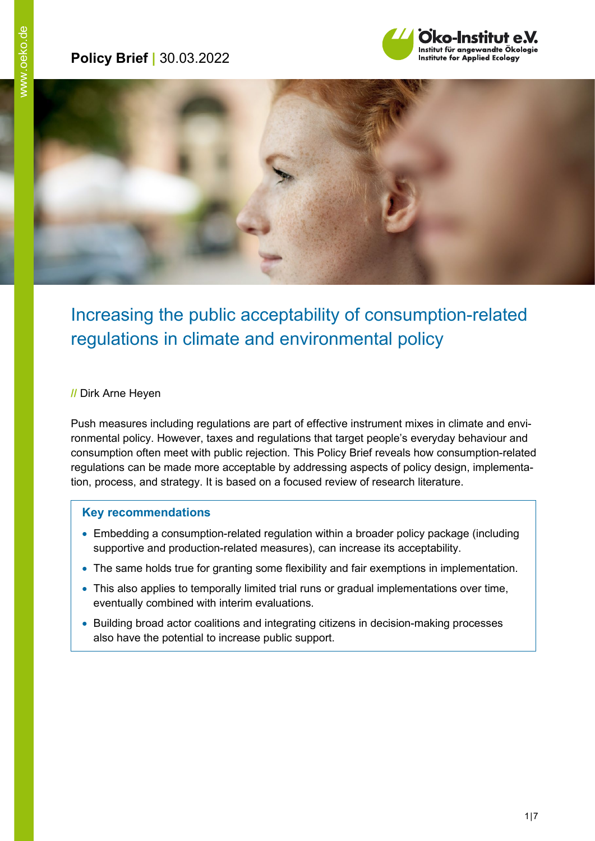# **Policy Brief |** 30.03.2022





# Increasing the public acceptability of consumption-related regulations in climate and environmental policy

#### **//** Dirk Arne Heyen

Push measures including regulations are part of effective instrument mixes in climate and environmental policy. However, taxes and regulations that target people's everyday behaviour and consumption often meet with public rejection. This Policy Brief reveals how consumption-related regulations can be made more acceptable by addressing aspects of policy design, implementation, process, and strategy. It is based on a focused review of research literature.

#### **Key recommendations**

- Embedding a consumption-related regulation within a broader policy package (including supportive and production-related measures), can increase its acceptability.
- The same holds true for granting some flexibility and fair exemptions in implementation.
- This also applies to temporally limited trial runs or gradual implementations over time, eventually combined with interim evaluations.
- Building broad actor coalitions and integrating citizens in decision-making processes also have the potential to increase public support.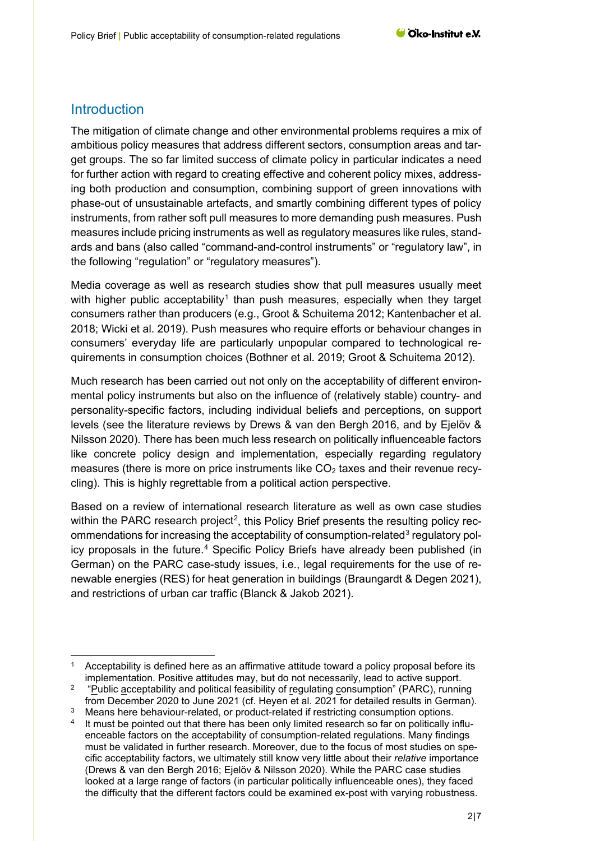### **Introduction**

The mitigation of climate change and other environmental problems requires a mix of ambitious policy measures that address different sectors, consumption areas and target groups. The so far limited success of climate policy in particular indicates a need for further action with regard to creating effective and coherent policy mixes, addressing both production and consumption, combining support of green innovations with phase-out of unsustainable artefacts, and smartly combining different types of policy instruments, from rather soft pull measures to more demanding push measures. Push measures include pricing instruments as well as regulatory measures like rules, standards and bans (also called "command-and-control instruments" or "regulatory law", in the following "regulation" or "regulatory measures").

Media coverage as well as research studies show that pull measures usually meet with higher public acceptability<sup>[1](#page-1-0)</sup> than push measures, especially when they target consumers rather than producers (e.g., Groot & Schuitema 2012; Kantenbacher et al. 2018; Wicki et al. 2019). Push measures who require efforts or behaviour changes in consumers' everyday life are particularly unpopular compared to technological requirements in consumption choices (Bothner et al. 2019; Groot & Schuitema 2012).

Much research has been carried out not only on the acceptability of different environmental policy instruments but also on the influence of (relatively stable) country- and personality-specific factors, including individual beliefs and perceptions, on support levels (see the literature reviews by Drews & van den Bergh 2016, and by Ejelöv & Nilsson 2020). There has been much less research on politically influenceable factors like concrete policy design and implementation, especially regarding regulatory measures (there is more on price instruments like  $CO<sub>2</sub>$  taxes and their revenue recycling). This is highly regrettable from a political action perspective.

Based on a review of international research literature as well as own case studies within the PARC research project<sup>[2](#page-1-1)</sup>, this Policy Brief presents the resulting policy rec-ommendations for increasing the acceptability of consumption-related<sup>[3](#page-1-2)</sup> regulatory policy proposals in the future.<sup>4</sup> Specific Policy Briefs have already been published (in German) on the PARC case-study issues, i.e., legal requirements for the use of renewable energies (RES) for heat generation in buildings (Braungardt & Degen 2021), and restrictions of urban car traffic (Blanck & Jakob 2021).

<span id="page-1-0"></span><sup>&</sup>lt;sup>1</sup> Acceptability is defined here as an affirmative attitude toward a policy proposal before its implementation. Positive attitudes may, but do not necessarily, lead to active support.

<span id="page-1-1"></span><sup>&</sup>lt;sup>2</sup> "Public acceptability and political feasibility of regulating consumption" (PARC), running from December 2020 to June 2021 (cf. Heyen et al. 2021 for detailed results in German).

Means here behaviour-related, or product-related if restricting consumption options.

<span id="page-1-3"></span><span id="page-1-2"></span>It must be pointed out that there has been only limited research so far on politically influenceable factors on the acceptability of consumption-related regulations. Many findings must be validated in further research. Moreover, due to the focus of most studies on specific acceptability factors, we ultimately still know very little about their *relative* importance (Drews & van den Bergh 2016; Ejelöv & Nilsson 2020). While the PARC case studies looked at a large range of factors (in particular politically influenceable ones), they faced the difficulty that the different factors could be examined ex-post with varying robustness.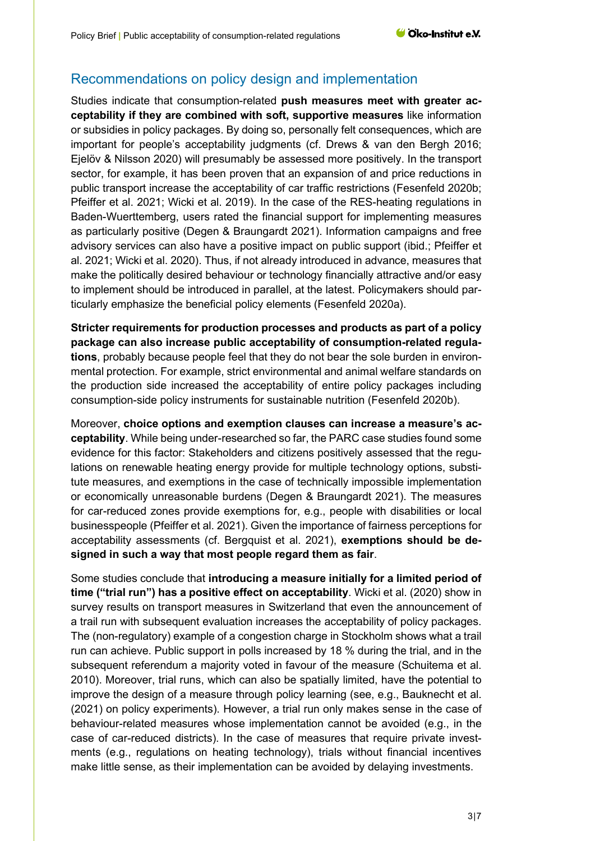# Recommendations on policy design and implementation

Studies indicate that consumption-related **push measures meet with greater acceptability if they are combined with soft, supportive measures** like information or subsidies in policy packages. By doing so, personally felt consequences, which are important for people's acceptability judgments (cf. Drews & van den Bergh 2016; Ejelöv & Nilsson 2020) will presumably be assessed more positively. In the transport sector, for example, it has been proven that an expansion of and price reductions in public transport increase the acceptability of car traffic restrictions (Fesenfeld 2020b; Pfeiffer et al. 2021; Wicki et al. 2019). In the case of the RES-heating regulations in Baden-Wuerttemberg, users rated the financial support for implementing measures as particularly positive (Degen & Braungardt 2021). Information campaigns and free advisory services can also have a positive impact on public support (ibid.; Pfeiffer et al. 2021; Wicki et al. 2020). Thus, if not already introduced in advance, measures that make the politically desired behaviour or technology financially attractive and/or easy to implement should be introduced in parallel, at the latest. Policymakers should particularly emphasize the beneficial policy elements (Fesenfeld 2020a).

**Stricter requirements for production processes and products as part of a policy package can also increase public acceptability of consumption-related regulations**, probably because people feel that they do not bear the sole burden in environmental protection. For example, strict environmental and animal welfare standards on the production side increased the acceptability of entire policy packages including consumption-side policy instruments for sustainable nutrition (Fesenfeld 2020b).

Moreover, **choice options and exemption clauses can increase a measure's acceptability**. While being under-researched so far, the PARC case studies found some evidence for this factor: Stakeholders and citizens positively assessed that the regulations on renewable heating energy provide for multiple technology options, substitute measures, and exemptions in the case of technically impossible implementation or economically unreasonable burdens (Degen & Braungardt 2021). The measures for car-reduced zones provide exemptions for, e.g., people with disabilities or local businesspeople (Pfeiffer et al. 2021). Given the importance of fairness perceptions for acceptability assessments (cf. Bergquist et al. 2021), **exemptions should be designed in such a way that most people regard them as fair**.

Some studies conclude that **introducing a measure initially for a limited period of time ("trial run") has a positive effect on acceptability**. Wicki et al. (2020) show in survey results on transport measures in Switzerland that even the announcement of a trail run with subsequent evaluation increases the acceptability of policy packages. The (non-regulatory) example of a congestion charge in Stockholm shows what a trail run can achieve. Public support in polls increased by 18 % during the trial, and in the subsequent referendum a majority voted in favour of the measure (Schuitema et al. 2010). Moreover, trial runs, which can also be spatially limited, have the potential to improve the design of a measure through policy learning (see, e.g., Bauknecht et al. (2021) on policy experiments). However, a trial run only makes sense in the case of behaviour-related measures whose implementation cannot be avoided (e.g., in the case of car-reduced districts). In the case of measures that require private investments (e.g., regulations on heating technology), trials without financial incentives make little sense, as their implementation can be avoided by delaying investments.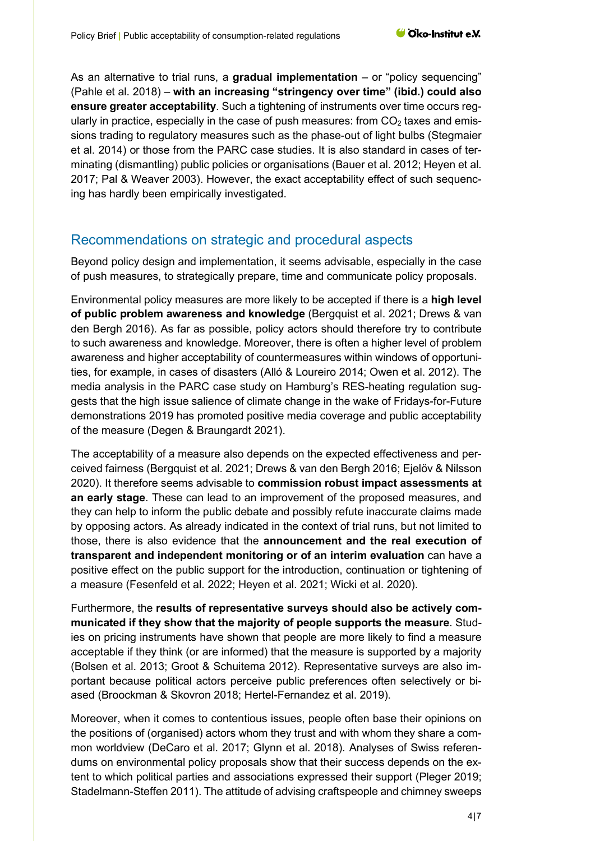As an alternative to trial runs, a **gradual implementation** – or "policy sequencing" (Pahle et al. 2018) – **with an increasing "stringency over time" (ibid.) could also ensure greater acceptability**. Such a tightening of instruments over time occurs regularly in practice, especially in the case of push measures: from  $CO<sub>2</sub>$  taxes and emissions trading to regulatory measures such as the phase-out of light bulbs (Stegmaier et al. 2014) or those from the PARC case studies. It is also standard in cases of terminating (dismantling) public policies or organisations (Bauer et al. 2012; Heyen et al. 2017; Pal & Weaver 2003). However, the exact acceptability effect of such sequencing has hardly been empirically investigated.

### Recommendations on strategic and procedural aspects

Beyond policy design and implementation, it seems advisable, especially in the case of push measures, to strategically prepare, time and communicate policy proposals.

Environmental policy measures are more likely to be accepted if there is a **high level of public problem awareness and knowledge** (Bergquist et al. 2021; Drews & van den Bergh 2016). As far as possible, policy actors should therefore try to contribute to such awareness and knowledge. Moreover, there is often a higher level of problem awareness and higher acceptability of countermeasures within windows of opportunities, for example, in cases of disasters (Alló & Loureiro 2014; Owen et al. 2012). The media analysis in the PARC case study on Hamburg's RES-heating regulation suggests that the high issue salience of climate change in the wake of Fridays-for-Future demonstrations 2019 has promoted positive media coverage and public acceptability of the measure (Degen & Braungardt 2021).

The acceptability of a measure also depends on the expected effectiveness and perceived fairness (Bergquist et al. 2021; Drews & van den Bergh 2016; Ejelöv & Nilsson 2020). It therefore seems advisable to **commission robust impact assessments at an early stage**. These can lead to an improvement of the proposed measures, and they can help to inform the public debate and possibly refute inaccurate claims made by opposing actors. As already indicated in the context of trial runs, but not limited to those, there is also evidence that the **announcement and the real execution of transparent and independent monitoring or of an interim evaluation** can have a positive effect on the public support for the introduction, continuation or tightening of a measure (Fesenfeld et al. 2022; Heyen et al. 2021; Wicki et al. 2020).

Furthermore, the **results of representative surveys should also be actively communicated if they show that the majority of people supports the measure**. Studies on pricing instruments have shown that people are more likely to find a measure acceptable if they think (or are informed) that the measure is supported by a majority (Bolsen et al. 2013; Groot & Schuitema 2012). Representative surveys are also important because political actors perceive public preferences often selectively or biased (Broockman & Skovron 2018; Hertel-Fernandez et al. 2019).

Moreover, when it comes to contentious issues, people often base their opinions on the positions of (organised) actors whom they trust and with whom they share a common worldview (DeCaro et al. 2017; Glynn et al. 2018). Analyses of Swiss referendums on environmental policy proposals show that their success depends on the extent to which political parties and associations expressed their support (Pleger 2019; Stadelmann-Steffen 2011). The attitude of advising craftspeople and chimney sweeps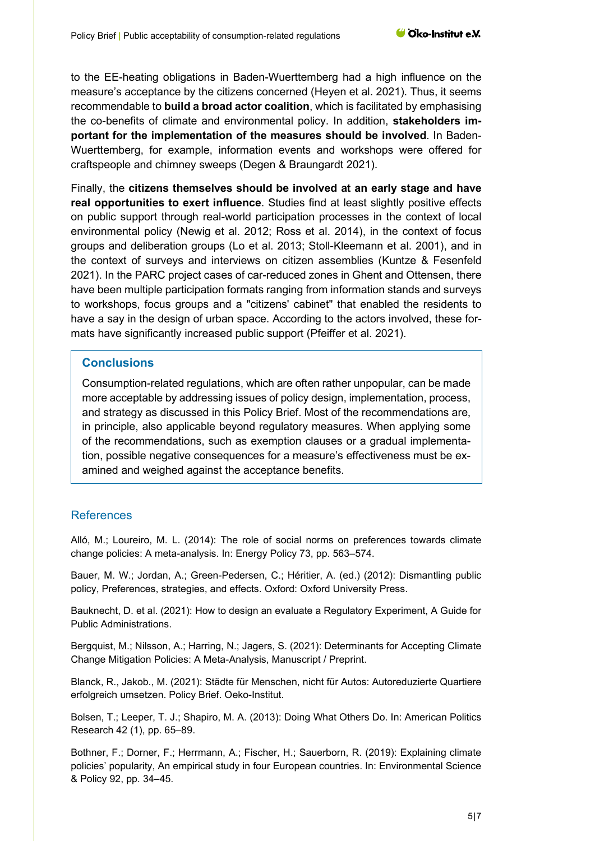to the EE-heating obligations in Baden-Wuerttemberg had a high influence on the measure's acceptance by the citizens concerned (Heyen et al. 2021). Thus, it seems recommendable to **build a broad actor coalition**, which is facilitated by emphasising the co-benefits of climate and environmental policy. In addition, **stakeholders important for the implementation of the measures should be involved**. In Baden-Wuerttemberg, for example, information events and workshops were offered for craftspeople and chimney sweeps (Degen & Braungardt 2021).

Finally, the **citizens themselves should be involved at an early stage and have real opportunities to exert influence**. Studies find at least slightly positive effects on public support through real-world participation processes in the context of local environmental policy (Newig et al. 2012; Ross et al. 2014), in the context of focus groups and deliberation groups (Lo et al. 2013; Stoll-Kleemann et al. 2001), and in the context of surveys and interviews on citizen assemblies (Kuntze & Fesenfeld 2021). In the PARC project cases of car-reduced zones in Ghent and Ottensen, there have been multiple participation formats ranging from information stands and surveys to workshops, focus groups and a "citizens' cabinet" that enabled the residents to have a say in the design of urban space. According to the actors involved, these formats have significantly increased public support (Pfeiffer et al. 2021).

### **Conclusions**

Consumption-related regulations, which are often rather unpopular, can be made more acceptable by addressing issues of policy design, implementation, process, and strategy as discussed in this Policy Brief. Most of the recommendations are, in principle, also applicable beyond regulatory measures. When applying some of the recommendations, such as exemption clauses or a gradual implementation, possible negative consequences for a measure's effectiveness must be examined and weighed against the acceptance benefits.

### References

Alló, M.; Loureiro, M. L. (2014): The role of social norms on preferences towards climate change policies: A meta-analysis. In: Energy Policy 73, pp. 563–574.

Bauer, M. W.; Jordan, A.; Green-Pedersen, C.; Héritier, A. (ed.) (2012): Dismantling public policy, Preferences, strategies, and effects. Oxford: Oxford University Press.

Bauknecht, D. et al. (2021): How to design an evaluate a Regulatory Experiment, A Guide for Public Administrations.

Bergquist, M.; Nilsson, A.; Harring, N.; Jagers, S. (2021): Determinants for Accepting Climate Change Mitigation Policies: A Meta-Analysis, Manuscript / Preprint.

Blanck, R., Jakob., M. (2021): Städte für Menschen, nicht für Autos: Autoreduzierte Quartiere erfolgreich umsetzen. Policy Brief. Oeko-Institut.

Bolsen, T.; Leeper, T. J.; Shapiro, M. A. (2013): Doing What Others Do. In: American Politics Research 42 (1), pp. 65–89.

Bothner, F.; Dorner, F.; Herrmann, A.; Fischer, H.; Sauerborn, R. (2019): Explaining climate policies' popularity, An empirical study in four European countries. In: Environmental Science & Policy 92, pp. 34–45.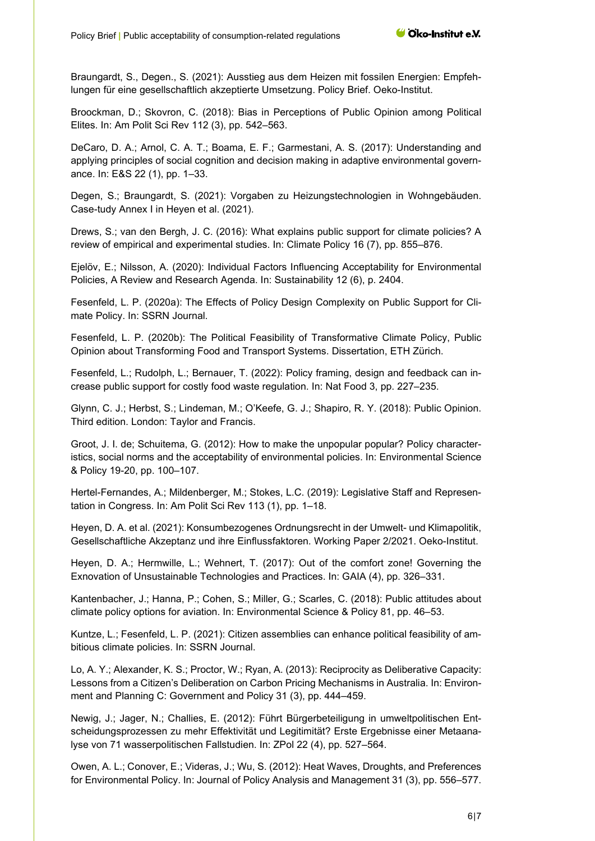Braungardt, S., Degen., S. (2021): Ausstieg aus dem Heizen mit fossilen Energien: Empfehlungen für eine gesellschaftlich akzeptierte Umsetzung. Policy Brief. Oeko-Institut.

Broockman, D.; Skovron, C. (2018): Bias in Perceptions of Public Opinion among Political Elites. In: Am Polit Sci Rev 112 (3), pp. 542–563.

DeCaro, D. A.; Arnol, C. A. T.; Boama, E. F.; Garmestani, A. S. (2017): Understanding and applying principles of social cognition and decision making in adaptive environmental governance. In: E&S 22 (1), pp. 1–33.

Degen, S.; Braungardt, S. (2021): Vorgaben zu Heizungstechnologien in Wohngebäuden. Case-tudy Annex I in Heyen et al. (2021).

Drews, S.; van den Bergh, J. C. (2016): What explains public support for climate policies? A review of empirical and experimental studies. In: Climate Policy 16 (7), pp. 855–876.

Ejelöv, E.; Nilsson, A. (2020): Individual Factors Influencing Acceptability for Environmental Policies, A Review and Research Agenda. In: Sustainability 12 (6), p. 2404.

Fesenfeld, L. P. (2020a): The Effects of Policy Design Complexity on Public Support for Climate Policy. In: SSRN Journal.

Fesenfeld, L. P. (2020b): The Political Feasibility of Transformative Climate Policy, Public Opinion about Transforming Food and Transport Systems. Dissertation, ETH Zürich.

Fesenfeld, L.; Rudolph, L.; Bernauer, T. (2022): Policy framing, design and feedback can increase public support for costly food waste regulation. In: Nat Food 3, pp. 227–235.

Glynn, C. J.; Herbst, S.; Lindeman, M.; O'Keefe, G. J.; Shapiro, R. Y. (2018): Public Opinion. Third edition. London: Taylor and Francis.

Groot, J. I. de; Schuitema, G. (2012): How to make the unpopular popular? Policy characteristics, social norms and the acceptability of environmental policies. In: Environmental Science & Policy 19-20, pp. 100–107.

Hertel-Fernandes, A.; Mildenberger, M.; Stokes, L.C. (2019): Legislative Staff and Representation in Congress. In: Am Polit Sci Rev 113 (1), pp. 1–18.

Heyen, D. A. et al. (2021): Konsumbezogenes Ordnungsrecht in der Umwelt- und Klimapolitik, Gesellschaftliche Akzeptanz und ihre Einflussfaktoren. Working Paper 2/2021. Oeko-Institut.

Heyen, D. A.; Hermwille, L.; Wehnert, T. (2017): Out of the comfort zone! Governing the Exnovation of Unsustainable Technologies and Practices. In: GAIA (4), pp. 326–331.

Kantenbacher, J.; Hanna, P.; Cohen, S.; Miller, G.; Scarles, C. (2018): Public attitudes about climate policy options for aviation. In: Environmental Science & Policy 81, pp. 46–53.

Kuntze, L.; Fesenfeld, L. P. (2021): Citizen assemblies can enhance political feasibility of ambitious climate policies. In: SSRN Journal.

Lo, A. Y.; Alexander, K. S.; Proctor, W.; Ryan, A. (2013): Reciprocity as Deliberative Capacity: Lessons from a Citizen's Deliberation on Carbon Pricing Mechanisms in Australia. In: Environment and Planning C: Government and Policy 31 (3), pp. 444–459.

Newig, J.; Jager, N.; Challies, E. (2012): Führt Bürgerbeteiligung in umweltpolitischen Entscheidungsprozessen zu mehr Effektivität und Legitimität? Erste Ergebnisse einer Metaanalyse von 71 wasserpolitischen Fallstudien. In: ZPol 22 (4), pp. 527–564.

Owen, A. L.; Conover, E.; Videras, J.; Wu, S. (2012): Heat Waves, Droughts, and Preferences for Environmental Policy. In: Journal of Policy Analysis and Management 31 (3), pp. 556–577.